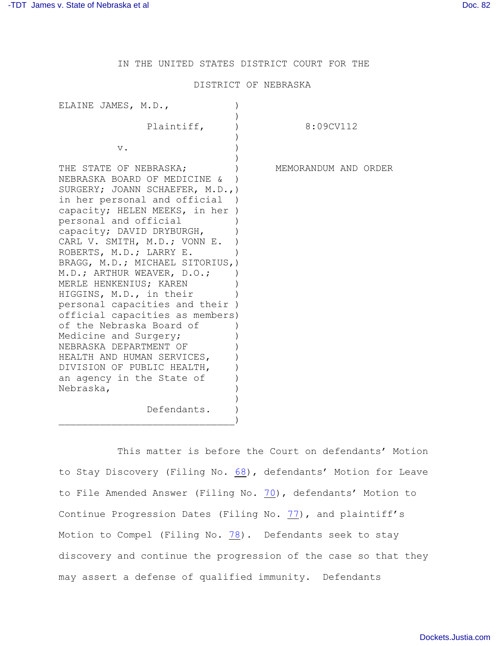IN THE UNITED STATES DISTRICT COURT FOR THE

## DISTRICT OF NEBRASKA

| ELAINE JAMES, M.D.,                                                                                                                                                                                                                                                                                                                                                                                                                                                                                                                                                                                                                                             |                      |
|-----------------------------------------------------------------------------------------------------------------------------------------------------------------------------------------------------------------------------------------------------------------------------------------------------------------------------------------------------------------------------------------------------------------------------------------------------------------------------------------------------------------------------------------------------------------------------------------------------------------------------------------------------------------|----------------------|
| Plaintiff,                                                                                                                                                                                                                                                                                                                                                                                                                                                                                                                                                                                                                                                      | 8:09CV112            |
| $\mathbf v$ .                                                                                                                                                                                                                                                                                                                                                                                                                                                                                                                                                                                                                                                   |                      |
| THE STATE OF NEBRASKA;<br>NEBRASKA BOARD OF MEDICINE &<br>SURGERY; JOANN SCHAEFER, M.D.,)<br>in her personal and official )<br>capacity; HELEN MEEKS, in her<br>personal and official<br>capacity; DAVID DRYBURGH,<br>CARL V. SMITH, M.D.; VONN E.<br>ROBERTS, M.D.; LARRY E.<br>BRAGG, M.D.; MICHAEL SITORIUS, )<br>M.D.; ARTHUR WEAVER, D.O.;<br>MERLE HENKENIUS; KAREN<br>HIGGINS, M.D., in their<br>personal capacities and their )<br>official capacities as members)<br>of the Nebraska Board of<br>Medicine and Surgery;<br>NEBRASKA DEPARTMENT OF<br>HEALTH AND HUMAN SERVICES,<br>DIVISION OF PUBLIC HEALTH,<br>an agency in the State of<br>Nebraska, | MEMORANDUM AND ORDER |
| Defendants.                                                                                                                                                                                                                                                                                                                                                                                                                                                                                                                                                                                                                                                     |                      |

This matter is before the Court on defendants' Motion to Stay Discovery (Filing No. [68](http://ecf.ned.uscourts.gov/doc1/11302231098)), defendants' Motion for Leave to File Amended Answer (Filing No. [70](http://ecf.ned.uscourts.gov/doc1/11302232802)), defendants' Motion to Continue Progression Dates (Filing No.  $77$ ), and plaintiff's Motion to Compel (Filing No. [78](http://ecf.ned.uscourts.gov/doc1/11302255653)). Defendants seek to stay discovery and continue the progression of the case so that they may assert a defense of qualified immunity. Defendants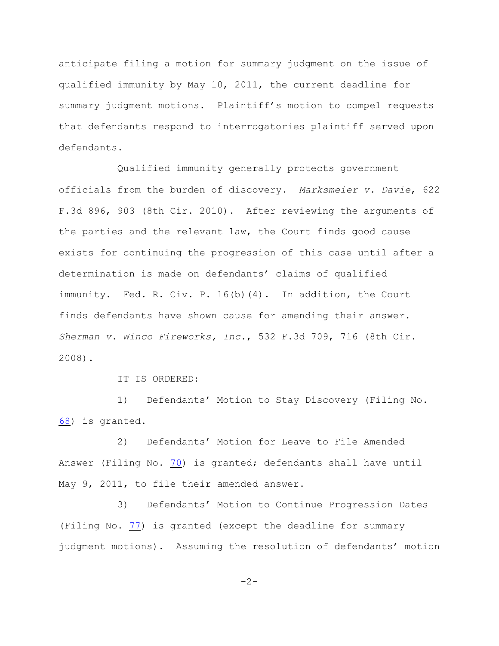anticipate filing a motion for summary judgment on the issue of qualified immunity by May 10, 2011, the current deadline for summary judgment motions. Plaintiff's motion to compel requests that defendants respond to interrogatories plaintiff served upon defendants.

Qualified immunity generally protects government officials from the burden of discovery. *Marksmeier v. Davie*, 622 F.3d 896, 903 (8th Cir. 2010). After reviewing the arguments of the parties and the relevant law, the Court finds good cause exists for continuing the progression of this case until after a determination is made on defendants' claims of qualified immunity. Fed. R. Civ. P. 16(b)(4). In addition, the Court finds defendants have shown cause for amending their answer. *Sherman v. Winco Fireworks, Inc.*, 532 F.3d 709, 716 (8th Cir. 2008).

IT IS ORDERED:

1) Defendants' Motion to Stay Discovery (Filing No. [68](http://ecf.ned.uscourts.gov/doc1/11302231098)) is granted.

2) Defendants' Motion for Leave to File Amended Answer (Filing No. [70](http://ecf.ned.uscourts.gov/doc1/11302232802)) is granted; defendants shall have until May 9, 2011, to file their amended answer.

3) Defendants' Motion to Continue Progression Dates (Filing No. [77](http://ecf.ned.uscourts.gov/doc1/11302248870)) is granted (except the deadline for summary judgment motions). Assuming the resolution of defendants' motion

 $-2-$